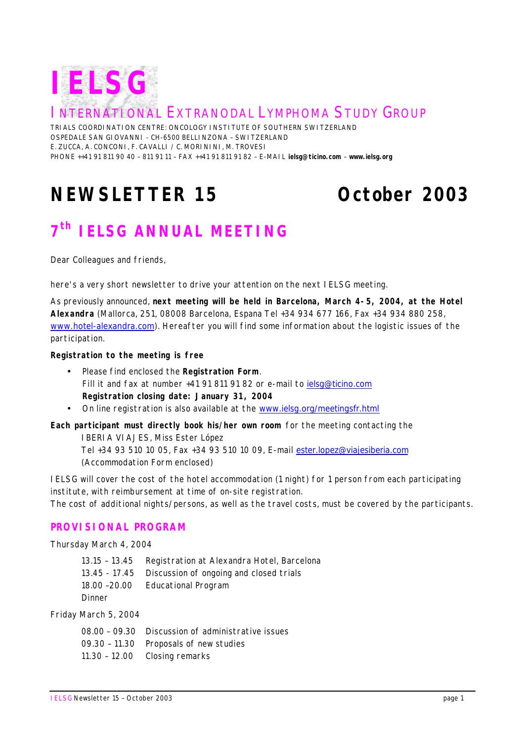

INTERNATIONAL EXTRANODAL LYMPHOMA STUDY GROUP

TRIALS COORDINATION CENTRE: ONCOLOGY INSTITUTE OF SOUTHERN SWITZERLAND OSPEDALE SAN GIOVANNI - CH-6500 BELLINZONA – SWITZERLAND E. ZUCCA, A. CONCONI, F. CAVALLI / C. MORININI, M. TROVESI PHONE ++41 91 811 90 40 – 811 91 11 – FAX ++41 91 811 91 82 – E-MAIL **ielsg@ticino.com** – **www.ielsg.org**

# **NEWSLETTER 15 October 2003**

## **7 th IELSG ANNUAL MEETING**

Dear Colleagues and friends,

here's a very short newsletter to drive your attention on the next IELSG meeting.

As previously announced, **next meeting will be held in Barcelona, March 4-5, 2004, at the Hotel Alexandra** (Mallorca, 251, 08008 Barcelona, Espana Tel +34 934 677 166, Fax +34 934 880 258, www.hotel-alexandra.com). Hereafter you will find some information about the logistic issues of the participation.

**Registration to the meeting is free**

- Please find enclosed the **Registration Form**. Fill it and fax at number +41 91 811 91 82 or e-mail to *ielsg@ticino.com* **Registration closing date: January 31, 2004**
- On line registration is also available at the www.ielsg.org/meetingsfr.html

**Each participant must directly book his/her own room** for the meeting contacting the

IBERIA VIAJES, Miss Ester López

Tel +34 93 510 10 05, Fax +34 93 510 10 09, E-mail ester.lopez@viajesiberia.com (Accommodation Form enclosed)

IELSG will cover the cost of the hotel accommodation (1 night) for 1 person from each participating institute, with reimbursement at time of on-site registration.

The cost of additional nights/persons, as well as the travel costs, must be covered by the participants.

#### **PROVISIONAL PROGRAM**

*Thursday March 4, 2004*

|        | 13.15 - 13.45 Registration at Alexandra Hotel, Barcelona |
|--------|----------------------------------------------------------|
|        | 13.45 - 17.45 Discussion of ongoing and closed trials    |
|        | 18.00 - 20.00 Educational Program                        |
| Dinner |                                                          |

*Friday March 5, 2004*

| 08.00 - 09.30 Discussion of administrative issues |
|---------------------------------------------------|
| 09.30 - 11.30 Proposals of new studies            |
| $11.30 - 12.00$ Closing remarks                   |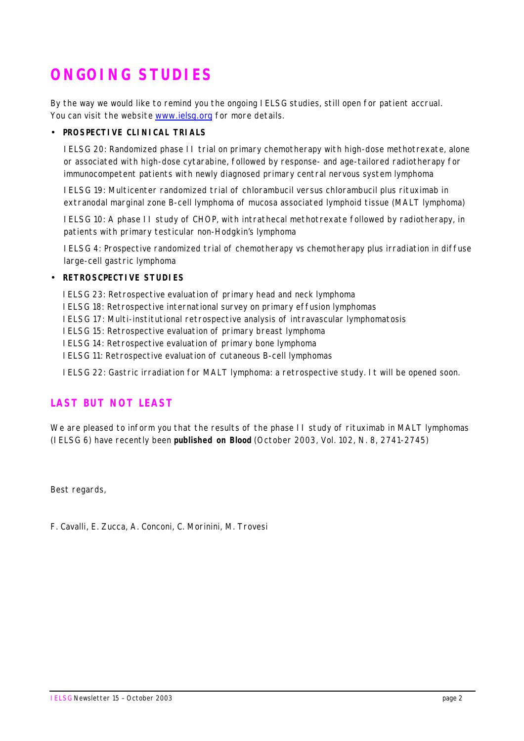## **ONGOING STUDIES**

By the way we would like to remind you the ongoing IELSG studies, still open for patient accrual. You can visit the website www.ielsg.org for more details.

#### • **PROSPECTIVE CLINICAL TRIALS**

IELSG 20: Randomized phase II trial on primary chemotherapy with high-dose methotrexate, alone or associated with high-dose cytarabine, followed by response- and age-tailored radiotherapy for immunocompetent patients with newly diagnosed primary central nervous system lymphoma

IELSG 19: Multicenter randomized trial of chlorambucil versus chlorambucil plus rituximab in extranodal marginal zone B-cell lymphoma of mucosa associated lymphoid tissue (MALT lymphoma)

IELSG 10: A phase II study of CHOP, with intrathecal methotrexate followed by radiotherapy, in patients with primary testicular non-Hodgkin's lymphoma

IELSG 4: Prospective randomized trial of chemotherapy vs chemotherapy plus irradiation in diffuse large-cell gastric lymphoma

#### • **RETROSCPECTIVE STUDIES**

IELSG 23: Retrospective evaluation of primary head and neck lymphoma IELSG 18: Retrospective international survey on primary effusion lymphomas IELSG 17: Multi-institutional retrospective analysis of intravascular lymphomatosis IELSG 15: Retrospective evaluation of primary breast lymphoma IELSG 14: Retrospective evaluation of primary bone lymphoma IELSG 11: Retrospective evaluation of cutaneous B-cell lymphomas

IELSG 22: Gastric irradiation for MALT lymphoma: a retrospective study. It will be opened soon.

### **LAST BUT NOT LEAST**

We are pleased to inform you that the results of the phase II study of rituximab in MALT lymphomas (IELSG 6) have recently been **published on Blood** (October 2003, Vol. 102, N. 8, 2741-2745)

Best regards,

*F. Cavalli, E. Zucca, A. Conconi, C. Morinini, M. Trovesi*